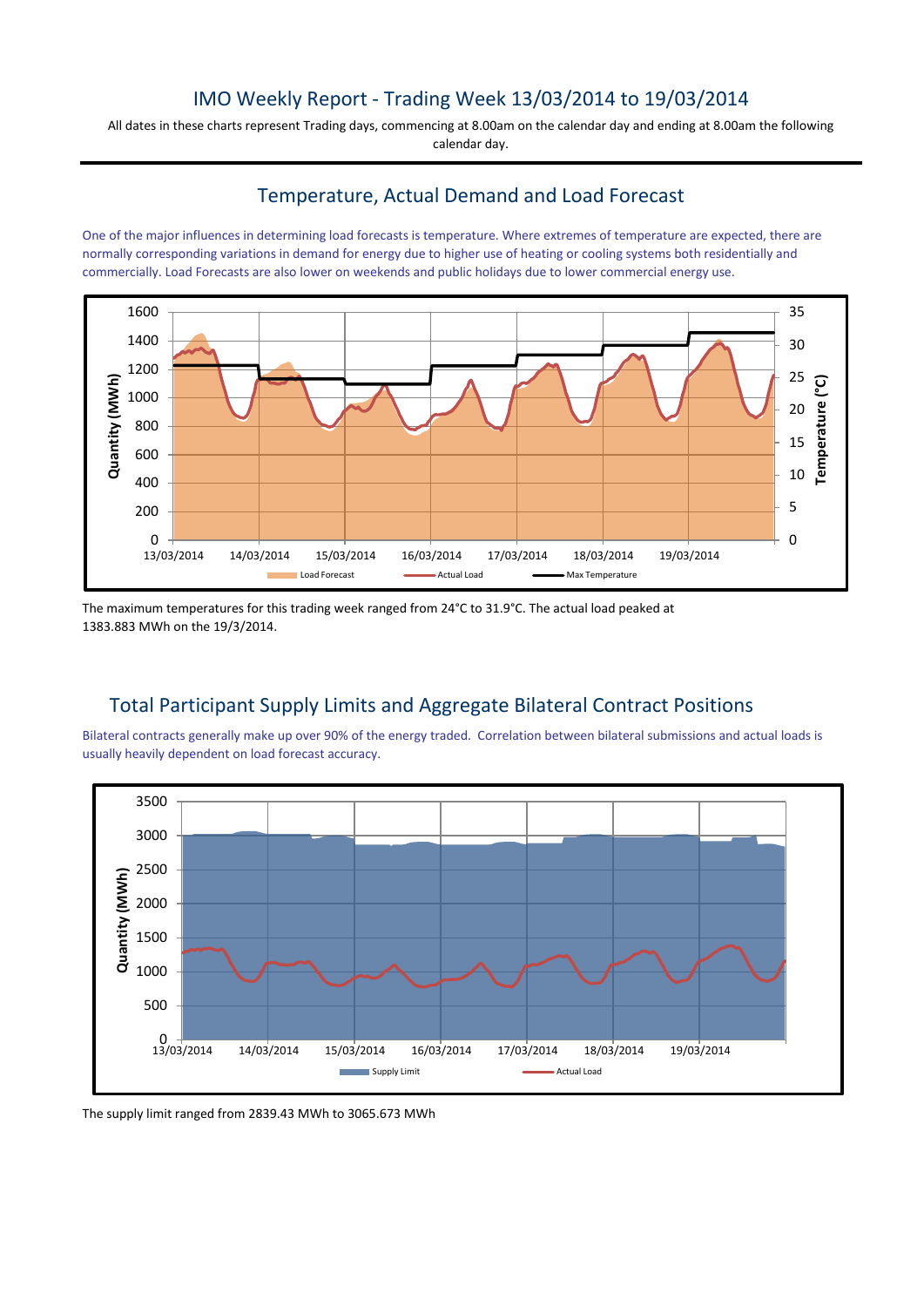## IMO Weekly Report - Trading Week 13/03/2014 to 19/03/2014

All dates in these charts represent Trading days, commencing at 8.00am on the calendar day and ending at 8.00am the following calendar day.

## Temperature, Actual Demand and Load Forecast

One of the major influences in determining load forecasts is temperature. Where extremes of temperature are expected, there are normally corresponding variations in demand for energy due to higher use of heating or cooling systems both residentially and commercially. Load Forecasts are also lower on weekends and public holidays due to lower commercial energy use.



The maximum temperatures for this trading week ranged from 24°C to 31.9°C. The actual load peaked at 1383.883 MWh on the 19/3/2014.

## Total Participant Supply Limits and Aggregate Bilateral Contract Positions

Bilateral contracts generally make up over 90% of the energy traded. Correlation between bilateral submissions and actual loads is usually heavily dependent on load forecast accuracy.



The supply limit ranged from 2839.43 MWh to 3065.673 MWh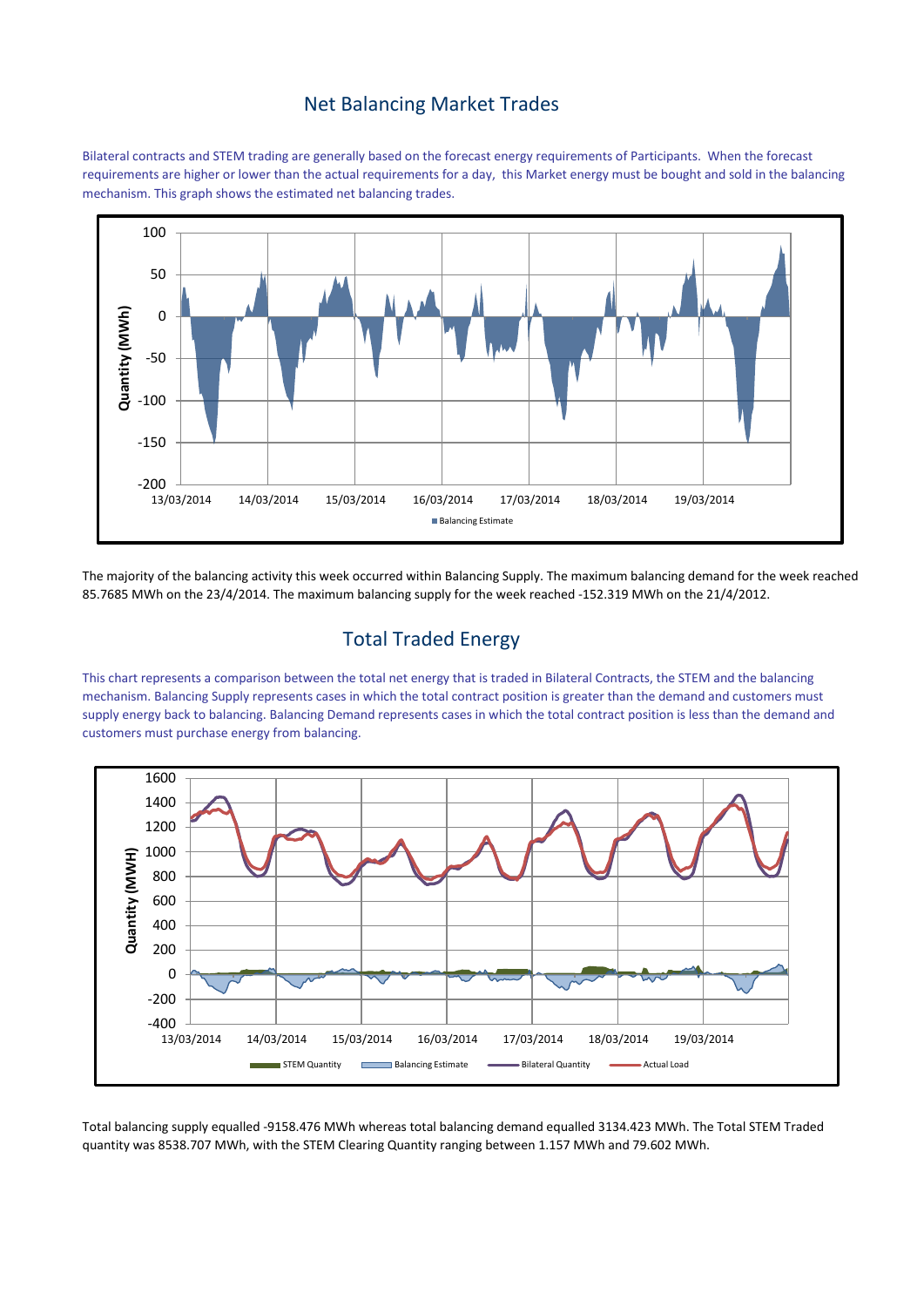#### Net Balancing Market Trades

Bilateral contracts and STEM trading are generally based on the forecast energy requirements of Participants. When the forecast requirements are higher or lower than the actual requirements for a day, this Market energy must be bought and sold in the balancing mechanism. This graph shows the estimated net balancing trades.



The majority of the balancing activity this week occurred within Balancing Supply. The maximum balancing demand for the week reached 85.7685 MWh on the 23/4/2014. The maximum balancing supply for the week reached -152.319 MWh on the 21/4/2012.

# Total Traded Energy

This chart represents a comparison between the total net energy that is traded in Bilateral Contracts, the STEM and the balancing mechanism. Balancing Supply represents cases in which the total contract position is greater than the demand and customers must supply energy back to balancing. Balancing Demand represents cases in which the total contract position is less than the demand and customers must purchase energy from balancing.



Total balancing supply equalled -9158.476 MWh whereas total balancing demand equalled 3134.423 MWh. The Total STEM Traded quantity was 8538.707 MWh, with the STEM Clearing Quantity ranging between 1.157 MWh and 79.602 MWh.